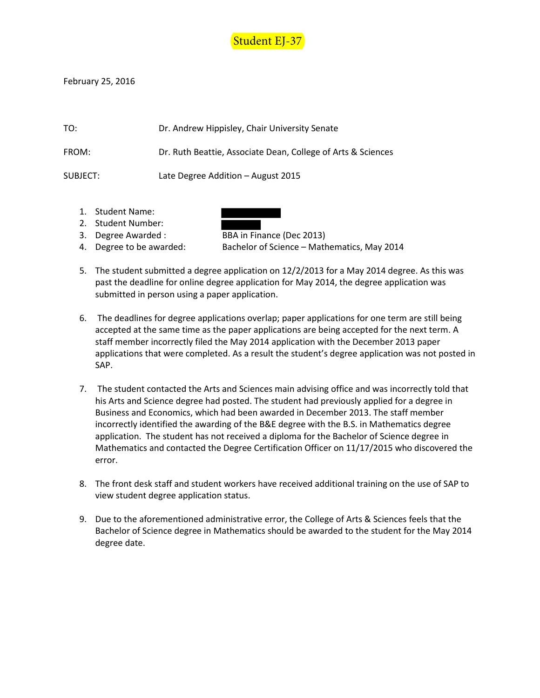

February 25, 2016

| TO:      | Dr. Andrew Hippisley, Chair University Senate                |
|----------|--------------------------------------------------------------|
| FROM:    | Dr. Ruth Beattie, Associate Dean, College of Arts & Sciences |
| SUBJECT: | Late Degree Addition – August 2015                           |

- 1. Student Name:
- 2. Student Number:
- 
- 

3. Degree Awarded : BBA in Finance (Dec 2013) 4. Degree to be awarded: Bachelor of Science – Mathematics, May 2014

- 5. The student submitted a degree application on 12/2/2013 for a May 2014 degree. As this was past the deadline for online degree application for May 2014, the degree application was submitted in person using a paper application.
- 6. The deadlines for degree applications overlap; paper applications for one term are still being accepted at the same time as the paper applications are being accepted for the next term. A staff member incorrectly filed the May 2014 application with the December 2013 paper applications that were completed. As a result the student's degree application was not posted in SAP.
- 7. The student contacted the Arts and Sciences main advising office and was incorrectly told that his Arts and Science degree had posted. The student had previously applied for a degree in Business and Economics, which had been awarded in December 2013. The staff member incorrectly identified the awarding of the B&E degree with the B.S. in Mathematics degree application. The student has not received a diploma for the Bachelor of Science degree in Mathematics and contacted the Degree Certification Officer on 11/17/2015 who discovered the error.
- 8. The front desk staff and student workers have received additional training on the use of SAP to view student degree application status.
- 9. Due to the aforementioned administrative error, the College of Arts & Sciences feels that the Bachelor of Science degree in Mathematics should be awarded to the student for the May 2014 degree date.